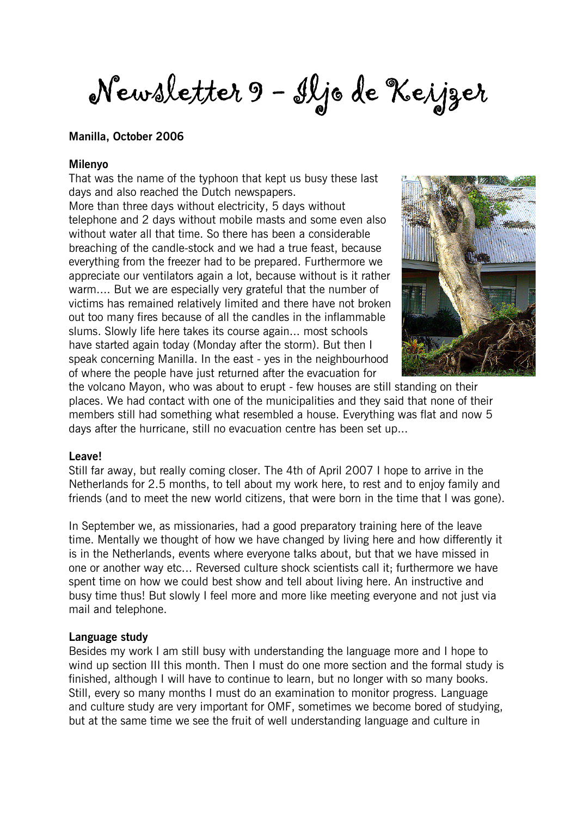Newsletter 9 - Iljo de Keijzer

#### Manilla, October 2006

#### Milenyo

That was the name of the typhoon that kept us busy these last days and also reached the Dutch newspapers.

More than three days without electricity, 5 days without telephone and 2 days without mobile masts and some even also without water all that time. So there has been a considerable breaching of the candle-stock and we had a true feast, because everything from the freezer had to be prepared. Furthermore we appreciate our ventilators again a lot, because without is it rather warm.... But we are especially very grateful that the number of victims has remained relatively limited and there have not broken out too many fires because of all the candles in the inflammable slums. Slowly life here takes its course again... most schools have started again today (Monday after the storm). But then I speak concerning Manilla. In the east - yes in the neighbourhood of where the people have just returned after the evacuation for



the volcano Mayon, who was about to erupt - few houses are still standing on their places. We had contact with one of the municipalities and they said that none of their members still had something what resembled a house. Everything was flat and now 5 days after the hurricane, still no evacuation centre has been set up...

#### Leave!

Still far away, but really coming closer. The 4th of April 2007 I hope to arrive in the Netherlands for 2.5 months, to tell about my work here, to rest and to enjoy family and friends (and to meet the new world citizens, that were born in the time that I was gone).

In September we, as missionaries, had a good preparatory training here of the leave time. Mentally we thought of how we have changed by living here and how differently it is in the Netherlands, events where everyone talks about, but that we have missed in one or another way etc... Reversed culture shock scientists call it; furthermore we have spent time on how we could best show and tell about living here. An instructive and busy time thus! But slowly I feel more and more like meeting everyone and not just via mail and telephone.

#### Language study

Besides my work I am still busy with understanding the language more and I hope to wind up section III this month. Then I must do one more section and the formal study is finished, although I will have to continue to learn, but no longer with so many books. Still, every so many months I must do an examination to monitor progress. Language and culture study are very important for OMF, sometimes we become bored of studying, but at the same time we see the fruit of well understanding language and culture in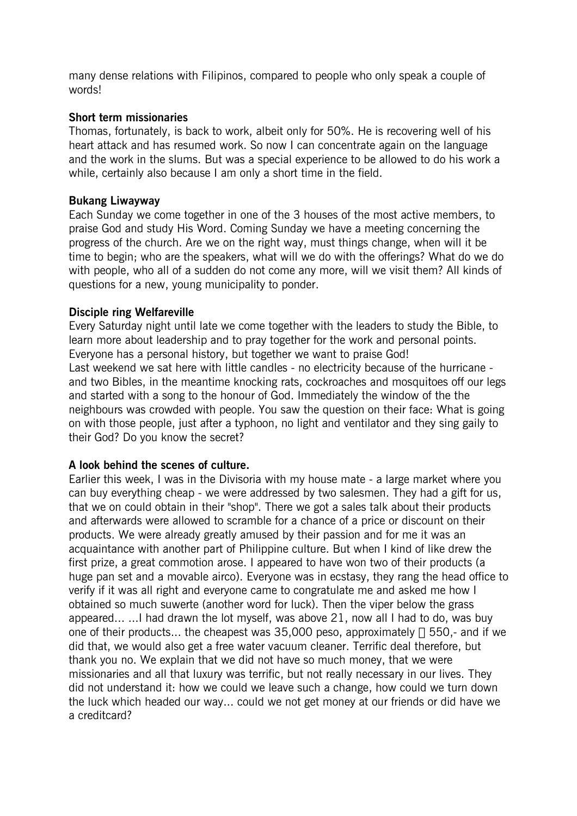many dense relations with Filipinos, compared to people who only speak a couple of words!

#### Short term missionaries

Thomas, fortunately, is back to work, albeit only for 50%. He is recovering well of his heart attack and has resumed work. So now I can concentrate again on the language and the work in the slums. But was a special experience to be allowed to do his work a while, certainly also because I am only a short time in the field.

#### Bukang Liwayway

Each Sunday we come together in one of the 3 houses of the most active members, to praise God and study His Word. Coming Sunday we have a meeting concerning the progress of the church. Are we on the right way, must things change, when will it be time to begin; who are the speakers, what will we do with the offerings? What do we do with people, who all of a sudden do not come any more, will we visit them? All kinds of questions for a new, young municipality to ponder.

## Disciple ring Welfareville

Every Saturday night until late we come together with the leaders to study the Bible, to learn more about leadership and to pray together for the work and personal points. Everyone has a personal history, but together we want to praise God! Last weekend we sat here with little candles - no electricity because of the hurricane and two Bibles, in the meantime knocking rats, cockroaches and mosquitoes off our legs and started with a song to the honour of God. Immediately the window of the the neighbours was crowded with people. You saw the question on their face: What is going on with those people, just after a typhoon, no light and ventilator and they sing gaily to their God? Do you know the secret?

## A look behind the scenes of culture.

Earlier this week, I was in the Divisoria with my house mate - a large market where you can buy everything cheap - we were addressed by two salesmen. They had a gift for us, that we on could obtain in their "shop". There we got a sales talk about their products and afterwards were allowed to scramble for a chance of a price or discount on their products. We were already greatly amused by their passion and for me it was an acquaintance with another part of Philippine culture. But when I kind of like drew the first prize, a great commotion arose. I appeared to have won two of their products (a huge pan set and a movable airco). Everyone was in ecstasy, they rang the head office to verify if it was all right and everyone came to congratulate me and asked me how I obtained so much suwerte (another word for luck). Then the viper below the grass appeared... ...I had drawn the lot myself, was above 21, now all I had to do, was buy one of their products... the cheapest was 35,000 peso, approximately A 550,- and if we did that, we would also get a free water vacuum cleaner. Terrific deal therefore, but thank you no. We explain that we did not have so much money, that we were missionaries and all that luxury was terrific, but not really necessary in our lives. They did not understand it: how we could we leave such a change, how could we turn down the luck which headed our way... could we not get money at our friends or did have we a creditcard?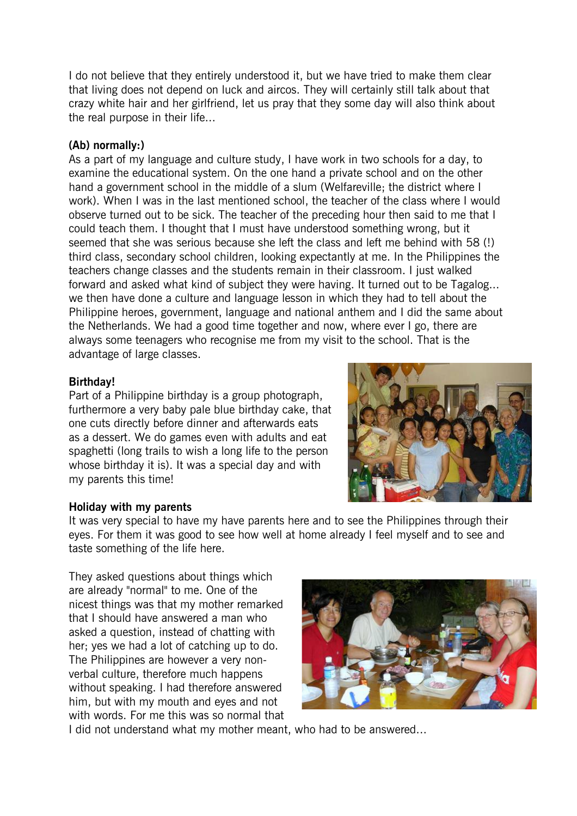I do not believe that they entirely understood it, but we have tried to make them clear that living does not depend on luck and aircos. They will certainly still talk about that crazy white hair and her girlfriend, let us pray that they some day will also think about the real purpose in their life...

# (Ab) normally:)

As a part of my language and culture study, I have work in two schools for a day, to examine the educational system. On the one hand a private school and on the other hand a government school in the middle of a slum (Welfareville; the district where I work). When I was in the last mentioned school, the teacher of the class where I would observe turned out to be sick. The teacher of the preceding hour then said to me that I could teach them. I thought that I must have understood something wrong, but it seemed that she was serious because she left the class and left me behind with 58 (!) third class, secondary school children, looking expectantly at me. In the Philippines the teachers change classes and the students remain in their classroom. I just walked forward and asked what kind of subject they were having. It turned out to be Tagalog... we then have done a culture and language lesson in which they had to tell about the Philippine heroes, government, language and national anthem and I did the same about the Netherlands. We had a good time together and now, where ever I go, there are always some teenagers who recognise me from my visit to the school. That is the advantage of large classes.

# Birthday!

Part of a Philippine birthday is a group photograph, furthermore a very baby pale blue birthday cake, that one cuts directly before dinner and afterwards eats as a dessert. We do games even with adults and eat spaghetti (long trails to wish a long life to the person whose birthday it is). It was a special day and with my parents this time!



## Holiday with my parents

It was very special to have my have parents here and to see the Philippines through their eyes. For them it was good to see how well at home already I feel myself and to see and taste something of the life here.

They asked questions about things which are already "normal" to me. One of the nicest things was that my mother remarked that I should have answered a man who asked a question, instead of chatting with her; yes we had a lot of catching up to do. The Philippines are however a very nonverbal culture, therefore much happens without speaking. I had therefore answered him, but with my mouth and eyes and not with words. For me this was so normal that



I did not understand what my mother meant, who had to be answered...